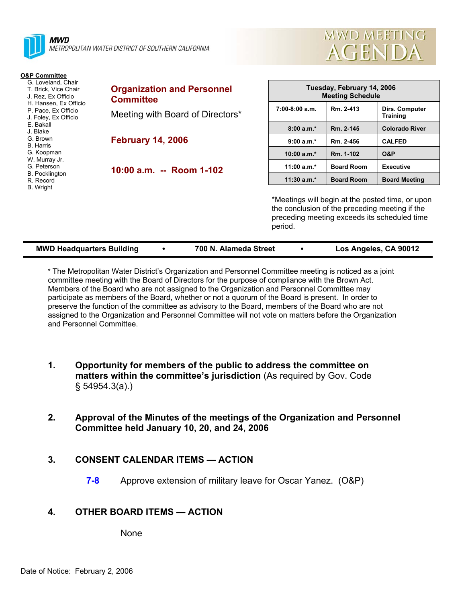



| <b>O&amp;P Committee</b><br>G. Loveland, Chair<br>T. Brick, Vice Chair<br>J. Rez. Ex Officio<br>H. Hansen, Ex Officio<br>P. Pace, Ex Officio<br>J. Foley, Ex Officio<br>E. Bakall<br>J. Blake<br>G. Brown<br><b>B.</b> Harris<br>G. Koopman<br>W. Murray Jr.<br>G. Peterson<br><b>B.</b> Pocklington<br>R. Record | <b>Organization and Personnel</b><br><b>Committee</b> | Tuesday, February 14, 2006<br><b>Meeting Schedule</b>                                                                                                         |                   |                            |  |
|-------------------------------------------------------------------------------------------------------------------------------------------------------------------------------------------------------------------------------------------------------------------------------------------------------------------|-------------------------------------------------------|---------------------------------------------------------------------------------------------------------------------------------------------------------------|-------------------|----------------------------|--|
|                                                                                                                                                                                                                                                                                                                   | Meeting with Board of Directors*                      | $7:00-8:00$ a.m.                                                                                                                                              | Rm. 2-413         | Dirs. Computer<br>Training |  |
|                                                                                                                                                                                                                                                                                                                   |                                                       | $8:00a.m.*$                                                                                                                                                   | Rm. 2-145         | <b>Colorado River</b>      |  |
|                                                                                                                                                                                                                                                                                                                   | <b>February 14, 2006</b>                              | $9:00 a.m.*$                                                                                                                                                  | Rm. 2-456         | <b>CALFED</b>              |  |
|                                                                                                                                                                                                                                                                                                                   |                                                       | 10:00 $a.m.*$                                                                                                                                                 | Rm. 1-102         | O&P                        |  |
|                                                                                                                                                                                                                                                                                                                   | 10:00 a.m. -- Room 1-102                              | 11:00 $a.m.*$                                                                                                                                                 | <b>Board Room</b> | <b>Executive</b>           |  |
|                                                                                                                                                                                                                                                                                                                   |                                                       | $11:30 a.m.*$                                                                                                                                                 | <b>Board Room</b> | <b>Board Meeting</b>       |  |
| B. Wright                                                                                                                                                                                                                                                                                                         |                                                       | *Meetings will begin at the posted time, or upon<br>the conclusion of the preceding meeting if the<br>preceding meeting exceeds its scheduled time<br>period. |                   |                            |  |

| <b>MWD Headquarters Building</b> |  | 700 N. Alameda Street |  | Los Angeles, CA 90012 |
|----------------------------------|--|-----------------------|--|-----------------------|
|----------------------------------|--|-----------------------|--|-----------------------|

\* The Metropolitan Water District's Organization and Personnel Committee meeting is noticed as a joint committee meeting with the Board of Directors for the purpose of compliance with the Brown Act. Members of the Board who are not assigned to the Organization and Personnel Committee may participate as members of the Board, whether or not a quorum of the Board is present. In order to preserve the function of the committee as advisory to the Board, members of the Board who are not assigned to the Organization and Personnel Committee will not vote on matters before the Organization and Personnel Committee.

- **1. Opportunity for members of the public to address the committee on matters within the committee's jurisdiction** (As required by Gov. Code § 54954.3(a).)
- **2. Approval of the Minutes of the meetings of the Organization and Personnel Committee held January 10, 20, and 24, 2006**

## **3. CONSENT CALENDAR ITEMS — ACTION**

**7-8** Approve extension of military leave for Oscar Yanez. (O&P)

# **4. OTHER BOARD ITEMS — ACTION**

None